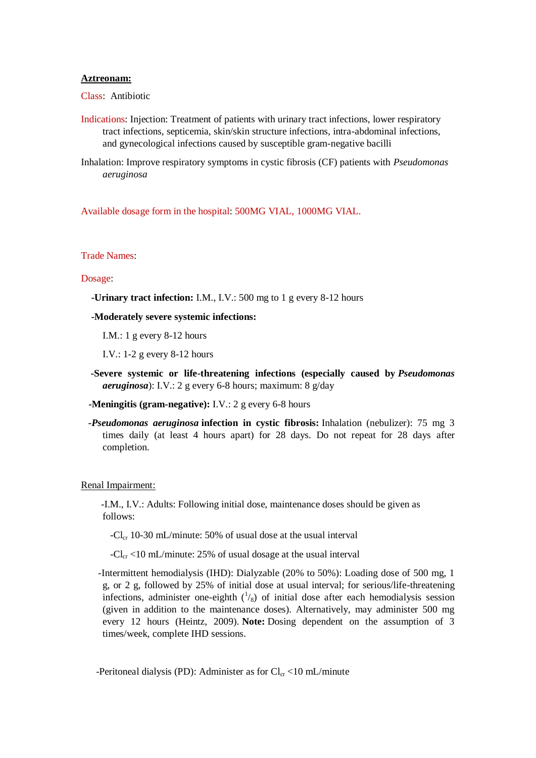## **Aztreonam:**

Class: Antibiotic

- Indications: Injection: Treatment of patients with urinary tract infections, lower respiratory tract infections, septicemia, skin/skin structure infections, intra-abdominal infections, and gynecological infections caused by susceptible gram-negative bacilli
- Inhalation: Improve respiratory symptoms in cystic fibrosis (CF) patients with *Pseudomonas aeruginosa*

Available dosage form in the hospital: 500MG VIAL, 1000MG VIAL.

# Trade Names:

### Dosage:

 **-Urinary tract infection:** I.M., I.V.: 500 mg to 1 g every 8-12 hours

### **-Moderately severe systemic infections:**

I.M.: 1 g every 8-12 hours

I.V.: 1-2 g every 8-12 hours

- **-Severe systemic or life-threatening infections (especially caused by** *Pseudomonas aeruginosa*): I.V.: 2 g every 6-8 hours; maximum: 8 g/day
- **-Meningitis (gram-negative):** I.V.: 2 g every 6-8 hours
- *-Pseudomonas aeruginosa* **infection in cystic fibrosis:** Inhalation (nebulizer): 75 mg 3 times daily (at least 4 hours apart) for 28 days. Do not repeat for 28 days after completion.

#### Renal Impairment:

 -I.M., I.V.: Adults: Following initial dose, maintenance doses should be given as follows:

 $-Cl_{cr}$  10-30 mL/minute: 50% of usual dose at the usual interval

 $-Cl_{cr}$  <10 mL/minute: 25% of usual dosage at the usual interval

 -Intermittent hemodialysis (IHD): Dialyzable (20% to 50%): Loading dose of 500 mg, 1 g, or 2 g, followed by 25% of initial dose at usual interval; for serious/life-threatening infections, administer one-eighth  $\binom{1}{8}$  of initial dose after each hemodialysis session (given in addition to the maintenance doses). Alternatively, may administer 500 mg every 12 hours (Heintz, 2009). **Note:** Dosing dependent on the assumption of 3 times/week, complete IHD sessions.

-Peritoneal dialysis (PD): Administer as for  $Cl_{cr}$  <10 mL/minute